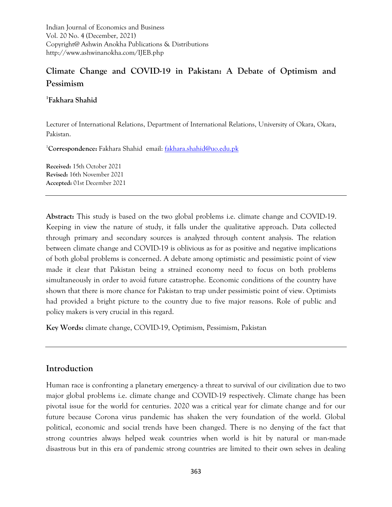Indian Journal of Economics and Business Vol. 20 No. 4 (December, 2021) Copyright@ Ashwin Anokha Publications & Distributions http://www.ashwinanokha.com/IJEB.php

# **Climate Change and COVID-19 in Pakistan: A Debate of Optimism and Pessimism**

**1 Fakhara Shahid**

Lecturer of International Relations, Department of International Relations, University of Okara, Okara, Pakistan.

<sup>1</sup>**Correspondence:** Fakhara Shahid email: [fakhara.shahid@uo.edu.pk](mailto:fakhara.shahid@uo.edu.pk)

**Received:** 15th October 2021 **Revised:** 16th November 2021 **Accepted:** 01st December 2021

**Abstract:** This study is based on the two global problems i.e. climate change and COVID-19. Keeping in view the nature of study, it falls under the qualitative approach. Data collected through primary and secondary sources is analyzed through content analysis. The relation between climate change and COVID-19 is oblivious as for as positive and negative implications of both global problems is concerned. A debate among optimistic and pessimistic point of view made it clear that Pakistan being a strained economy need to focus on both problems simultaneously in order to avoid future catastrophe. Economic conditions of the country have shown that there is more chance for Pakistan to trap under pessimistic point of view. Optimists had provided a bright picture to the country due to five major reasons. Role of public and policy makers is very crucial in this regard.

**Key Words:** climate change, COVID-19, Optimism, Pessimism, Pakistan

## **Introduction**

Human race is confronting a planetary emergency- a threat to survival of our civilization due to two major global problems i.e. climate change and COVID-19 respectively. Climate change has been pivotal issue for the world for centuries. 2020 was a critical year for climate change and for our future because Corona virus pandemic has shaken the very foundation of the world. Global political, economic and social trends have been changed. There is no denying of the fact that strong countries always helped weak countries when world is hit by natural or man-made disastrous but in this era of pandemic strong countries are limited to their own selves in dealing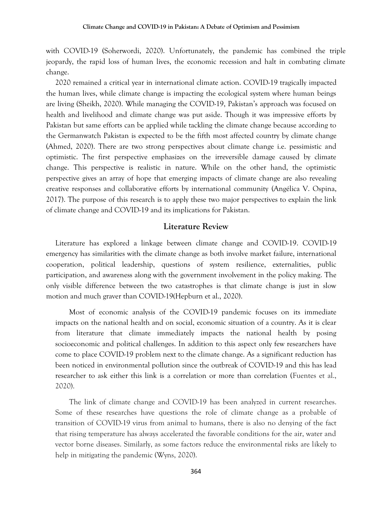with COVID-19 (Soherwordi, 2020). Unfortunately, the pandemic has combined the triple jeopardy, the rapid loss of human lives, the economic recession and halt in combating climate change.

2020 remained a critical year in international climate action. COVID-19 tragically impacted the human lives, while climate change is impacting the ecological system where human beings are living (Sheikh, 2020). While managing the COVID-19, Pakistan's approach was focused on health and livelihood and climate change was put aside. Though it was impressive efforts by Pakistan but same efforts can be applied while tackling the climate change because according to the Germanwatch Pakistan is expected to be the fifth most affected country by climate change (Ahmed, 2020). There are two strong perspectives about climate change i.e. pessimistic and optimistic. The first perspective emphasizes on the irreversible damage caused by climate change. This perspective is realistic in nature. While on the other hand, the optimistic perspective gives an array of hope that emerging impacts of climate change are also revealing creative responses and collaborative efforts by international community (Angélica V. Ospina, 2017). The purpose of this research is to apply these two major perspectives to explain the link of climate change and COVID-19 and its implications for Pakistan.

#### **Literature Review**

Literature has explored a linkage between climate change and COVID-19. COVID-19 emergency has similarities with the climate change as both involve market failure, international cooperation, political leadership, questions of system resilience, externalities, public participation, and awareness along with the government involvement in the policy making. The only visible difference between the two catastrophes is that climate change is just in slow motion and much graver than COVID-19(Hepburn et al., 2020).

Most of economic analysis of the COVID-19 pandemic focuses on its immediate impacts on the national health and on social, economic situation of a country. As it is clear from literature that climate immediately impacts the national health by posing socioeconomic and political challenges. In addition to this aspect only few researchers have come to place COVID-19 problem next to the climate change. As a significant reduction has been noticed in environmental pollution since the outbreak of COVID-19 and this has lead researcher to ask either this link is a correlation or more than correlation (Fuentes et al., 2020).

The link of climate change and COVID-19 has been analyzed in current researches. Some of these researches have questions the role of climate change as a probable of transition of COVID-19 virus from animal to humans, there is also no denying of the fact that rising temperature has always accelerated the favorable conditions for the air, water and vector borne diseases. Similarly, as some factors reduce the environmental risks are likely to help in mitigating the pandemic (Wyns, 2020).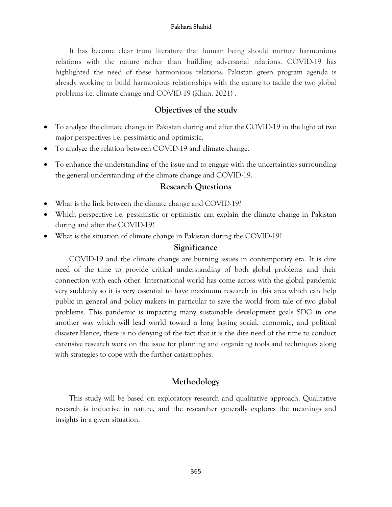#### **Fakhara Shahid**

It has become clear from literature that human being should nurture harmonious relations with the nature rather than building adversarial relations. COVID-19 has highlighted the need of these harmonious relations. Pakistan green program agenda is already working to build harmonious relationships with the nature to tackle the two global problems i.e. climate change and COVID-19 (Khan, 2021) .

## **Objectives of the study**

- To analyze the climate change in Pakistan during and after the COVID-19 in the light of two major perspectives i.e. pessimistic and optimistic.
- To analyze the relation between COVID-19 and climate change.
- To enhance the understanding of the issue and to engage with the uncertainties surrounding the general understanding of the climate change and COVID-19.

### **Research Questions**

- What is the link between the climate change and COVID-19?
- Which perspective i.e. pessimistic or optimistic can explain the climate change in Pakistan during and after the COVID-19?
- What is the situation of climate change in Pakistan during the COVID-19?

### **Significance**

COVID-19 and the climate change are burning issues in contemporary era. It is dire need of the time to provide critical understanding of both global problems and their connection with each other. International world has come across with the global pandemic very suddenly so it is very essential to have maximum research in this area which can help public in general and policy makers in particular to save the world from tale of two global problems. This pandemic is impacting many sustainable development goals SDG in one another way which will lead world toward a long lasting social, economic, and political disaster.Hence, there is no denying of the fact that it is the dire need of the time to conduct extensive research work on the issue for planning and organizing tools and techniques along with strategies to cope with the further catastrophes.

### **Methodology**

This study will be based on exploratory research and qualitative approach. Qualitative research is inductive in nature, and the researcher generally explores the meanings and insights in a given situation.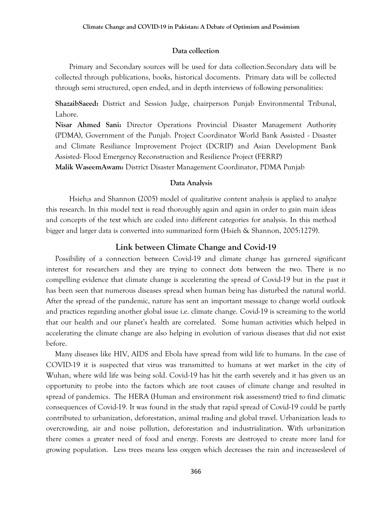#### **Data collection**

Primary and Secondary sources will be used for data collection.Secondary data will be collected through publications, books, historical documents. Primary data will be collected through semi structured, open ended, and in depth interviews of following personalities:

**ShazaibSaeed:** District and Session Judge, chairperson Punjab Environmental Tribunal, Lahore.

**Nisar Ahmed Sani:** Director Operations Provincial Disaster Management Authority (PDMA), Government of the Punjab. Project Coordinator World Bank Assisted - Disaster and Climate Resiliance Improvement Project (DCRIP) and Asian Development Bank Assisted- Flood Emergency Reconstruction and Resilience Project (FERRP)

**Malik WaseemAwam:** District Disaster Management Coordinator, PDMA Punjab

### **Data Analysis**

Hsieh;s and Shannon (2005) model of qualitative content analysis is applied to analyze this research. In this model text is read thoroughly again and again in order to gain main ideas and concepts of the text which are coded into different categories for analysis. In this method bigger and larger data is converted into summarized form (Hsieh & Shannon, 2005:1279).

#### **Link between Climate Change and Covid-19**

Possibility of a connection between Covid-19 and climate change has garnered significant interest for researchers and they are trying to connect dots between the two. There is no compelling evidence that climate change is accelerating the spread of Covid-19 but in the past it has been seen that numerous diseases spread when human being has disturbed the natural world. After the spread of the pandemic, nature has sent an important message to change world outlook and practices regarding another global issue i.e. climate change. Covid-19 is screaming to the world that our health and our planet's health are correlated. Some human activities which helped in accelerating the climate change are also helping in evolution of various diseases that did not exist before.

Many diseases like HIV, AIDS and Ebola have spread from wild life to humans. In the case of COVID-19 it is suspected that virus was transmitted to humans at wet market in the city of Wuhan, where wild life was being sold. Covid-19 has hit the earth severely and it has given us an opportunity to probe into the factors which are root causes of climate change and resulted in spread of pandemics. The HERA (Human and environment risk assessment) tried to find climatic consequences of Covid-19. It was found in the study that rapid spread of Covid-19 could be partly contributed to urbanization, deforestation, animal trading and global travel. Urbanization leads to overcrowding, air and noise pollution, deforestation and industrialization. With urbanization there comes a greater need of food and energy. Forests are destroyed to create more land for growing population. Less trees means less oxygen which decreases the rain and increaseslevel of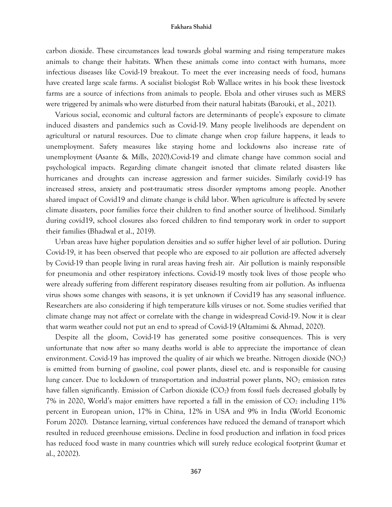#### **Fakhara Shahid**

carbon dioxide. These circumstances lead towards global warming and rising temperature makes animals to change their habitats. When these animals come into contact with humans, more infectious diseases like Covid-19 breakout. To meet the ever increasing needs of food, humans have created large scale farms. A socialist biologist Rob Wallace writes in his book these livestock farms are a source of infections from animals to people. Ebola and other viruses such as MERS were triggered by animals who were disturbed from their natural habitats (Barouki, et al., 2021).

Various social, economic and cultural factors are determinants of people's exposure to climate induced disasters and pandemics such as Covid-19. Many people livelihoods are dependent on agricultural or natural resources. Due to climate change when crop failure happens, it leads to unemployment. Safety measures like staying home and lockdowns also increase rate of unemployment (Asante & Mills, 2020).Covid-19 and climate change have common social and psychological impacts. Regarding climate changeit isnoted that climate related disasters like hurricanes and droughts can increase aggression and farmer suicides. Similarly covid-19 has increased stress, anxiety and post-traumatic stress disorder symptoms among people. Another shared impact of Covid19 and climate change is child labor. When agriculture is affected by severe climate disasters, poor families force their children to find another source of livelihood. Similarly during covid19, school closures also forced children to find temporary work in order to support their families (Bhadwal et al., 2019).

Urban areas have higher population densities and so suffer higher level of air pollution. During Covid-19, it has been observed that people who are exposed to air pollution are affected adversely by Covid-19 than people living in rural areas having fresh air. Air pollution is mainly responsible for pneumonia and other respiratory infections. Covid-19 mostly took lives of those people who were already suffering from different respiratory diseases resulting from air pollution. As influenza virus shows some changes with seasons, it is yet unknown if Covid19 has any seasonal influence. Researchers are also considering if high temperature kills viruses or not. Some studies verified that climate change may not affect or correlate with the change in widespread Covid-19. Now it is clear that warm weather could not put an end to spread of Covid-19 (Altamimi & Ahmad, 2020).

Despite all the gloom, Covid-19 has generated some positive consequences. This is very unfortunate that now after so many deaths world is able to appreciate the importance of clean environment. Covid-19 has improved the quality of air which we breathe. Nitrogen dioxide  $(NO<sub>2</sub>)$ is emitted from burning of gasoline, coal power plants, diesel etc. and is responsible for causing lung cancer. Due to lockdown of transportation and industrial power plants,  $NO<sub>2</sub>$  emission rates have fallen significantly. Emission of Carbon dioxide  $(CO<sub>2</sub>)$  from fossil fuels decreased globally by 7% in 2020, World's major emitters have reported a fall in the emission of  $CO<sub>2</sub>$  including 11% percent in European union, 17% in China, 12% in USA and 9% in India (World Economic Forum 2020). Distance learning, virtual conferences have reduced the demand of transport which resulted in reduced greenhouse emissions. Decline in food production and inflation in food prices has reduced food waste in many countries which will surely reduce ecological footprint (kumar et al., 20202).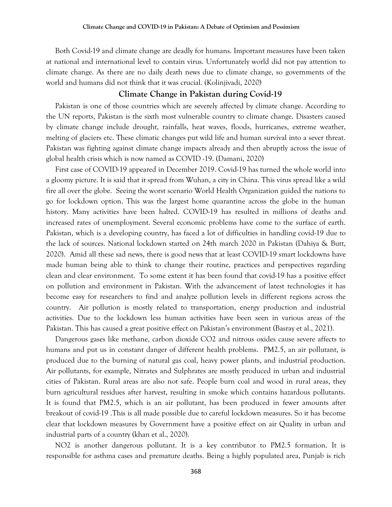Both Covid-19 and climate change are deadly for humans. Important measures have been taken at national and international level to contain virus. Unfortunately world did not pay attention to climate change. As there are no daily death news due to climate change, so governments of the world and humans did not think that it was crucial. (Kolinjivadi, 2020)

#### **Climate Change in Pakistan during Covid-19**

Pakistan is one of those countries which are severely affected by climate change. According to the UN reports, Pakistan is the sixth most vulnerable country to climate change. Disasters caused by climate change include drought, rainfalls, heat waves, floods, hurricanes, extreme weather, melting of glaciers etc. These climatic changes put wild life and human survival into a sever threat. Pakistan was fighting against climate change impacts already and then abruptly across the issue of global health crisis which is now named as COVID -19. (Damani, 2020)

First case of COVID-19 appeared in December 2019. Covid-19 has turned the whole world into a gloomy picture. It is said that it spread from Wuhan, a city in China. This virus spread like a wild fire all over the globe. Seeing the worst scenario World Health Organization guided the nations to go for lockdown option. This was the largest home quarantine across the globe in the human history. Many activities have been halted. COVID-19 has resulted in millions of deaths and increased rates of unemployment. Several economic problems have come to the surface of earth. Pakistan, which is a developing country, has faced a lot of difficulties in handling covid-19 due to the lack of sources. National lockdown started on 24th march 2020 in Pakistan (Dahiya & Butt, 2020). Amid all these sad news, there is good news that at least COVID-19 smart lockdowns have made human being able to think to change their routine, practices and perspectives regarding clean and clear environment. To some extent it has been found that covid-19 has a positive effect on pollution and environment in Pakistan. With the advancement of latest technologies it has become easy for researchers to find and analyze pollution levels in different regions across the country. Air pollution is mostly related to transportation, energy production and industrial activities. Due to the lockdown less human activities have been seen in various areas of the Pakistan. This has caused a great positive effect on Pakistan's environment (Basray et al., 2021).

Dangerous gases like methane, carbon dioxide CO2 and nitrous oxides cause severe affects to humans and put us in constant danger of different health problems. PM2.5, an air pollutant, is produced due to the burning of natural gas coal, heavy power plants, and industrial production. Air pollutants, for example, Nitrates and Sulphrates are mostly produced in urban and industrial cities of Pakistan. Rural areas are also not safe. People burn coal and wood in rural areas, they burn agricultural residues after harvest, resulting in smoke which contains hazardous pollutants. It is found that PM2.5, which is an air pollutant, has been produced in fewer amounts after breakout of covid-19 .This is all made possible due to careful lockdown measures. So it has become clear that lockdown measures by Government have a positive effect on air Quality in urban and industrial parts of a country (khan et al., 2020).

NO2 is another dangerous pollutant. It is a key contributor to PM2.5 formation. It is responsible for asthma cases and premature deaths. Being a highly populated area, Punjab is rich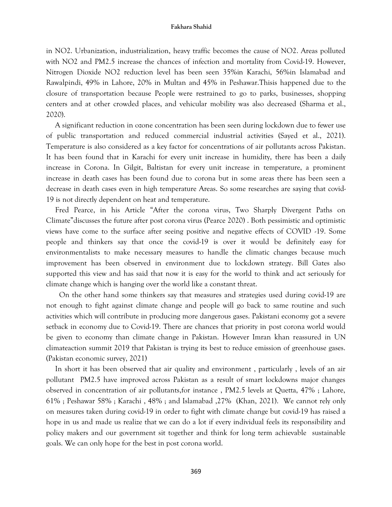#### **Fakhara Shahid**

in NO2. Urbanization, industrialization, heavy traffic becomes the cause of NO2. Areas polluted with NO2 and PM2.5 increase the chances of infection and mortality from Covid-19. However, Nitrogen Dioxide NO2 reduction level has been seen 35%in Karachi, 56%in Islamabad and Rawalpindi, 49% in Lahore, 20% in Multan and 45% in Peshawar.Thisis happened due to the closure of transportation because People were restrained to go to parks, businesses, shopping centers and at other crowded places, and vehicular mobility was also decreased (Sharma et al., 2020).

A significant reduction in ozone concentration has been seen during lockdown due to fewer use of public transportation and reduced commercial industrial activities (Sayed et al., 2021). Temperature is also considered as a key factor for concentrations of air pollutants across Pakistan. It has been found that in Karachi for every unit increase in humidity, there has been a daily increase in Corona. In Gilgit, Baltistan for every unit increase in temperature, a prominent increase in death cases has been found due to corona but in some areas there has been seen a decrease in death cases even in high temperature Areas. So some researches are saying that covid-19 is not directly dependent on heat and temperature.

Fred Pearce, in his Article "After the corona virus, Two Sharply Divergent Paths on Climate"discusses the future after post corona virus (Pearce 2020) . Both pessimistic and optimistic views have come to the surface after seeing positive and negative effects of COVID -19. Some people and thinkers say that once the covid-19 is over it would be definitely easy for environmentalists to make necessary measures to handle the climatic changes because much improvement has been observed in environment due to lockdown strategy. Bill Gates also supported this view and has said that now it is easy for the world to think and act seriously for climate change which is hanging over the world like a constant threat.

 On the other hand some thinkers say that measures and strategies used during covid-19 are not enough to fight against climate change and people will go back to same routine and such activities which will contribute in producing more dangerous gases. Pakistani economy got a severe setback in economy due to Covid-19. There are chances that priority in post corona world would be given to economy than climate change in Pakistan. However Imran khan reassured in UN climateaction summit 2019 that Pakistan is trying its best to reduce emission of greenhouse gases. (Pakistan economic survey, 2021)

In short it has been observed that air quality and environment , particularly , levels of an air pollutant PM2.5 have improved across Pakistan as a result of smart lockdowns major changes observed in concentration of air pollutants,for instance , PM2.5 levels at Quetta, 47% ; Lahore, 61% ; Peshawar 58% ; Karachi , 48% ; and Islamabad ,27% (Khan, 2021). We cannot rely only on measures taken during covid-19 in order to fight with climate change but covid-19 has raised a hope in us and made us realize that we can do a lot if every individual feels its responsibility and policy makers and our government sit together and think for long term achievable sustainable goals. We can only hope for the best in post corona world.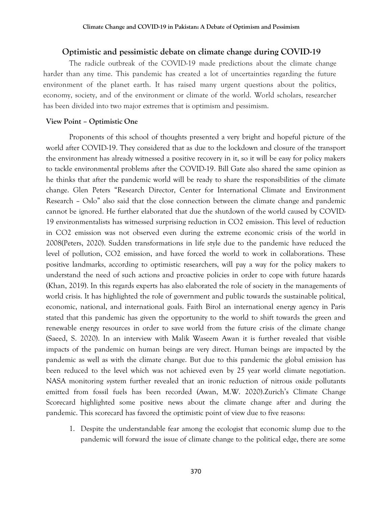#### **Optimistic and pessimistic debate on climate change during COVID-19**

The radicle outbreak of the COVID-19 made predictions about the climate change harder than any time. This pandemic has created a lot of uncertainties regarding the future environment of the planet earth. It has raised many urgent questions about the politics, economy, society, and of the environment or climate of the world. World scholars, researcher has been divided into two major extremes that is optimism and pessimism.

#### **View Point – Optimistic One**

Proponents of this school of thoughts presented a very bright and hopeful picture of the world after COVID-19. They considered that as due to the lockdown and closure of the transport the environment has already witnessed a positive recovery in it, so it will be easy for policy makers to tackle environmental problems after the COVID-19. Bill Gate also shared the same opinion as he thinks that after the pandemic world will be ready to share the responsibilities of the climate change. Glen Peters "Research Director, Center for International Climate and Environment Research – Oslo" also said that the close connection between the climate change and pandemic cannot be ignored. He further elaborated that due the shutdown of the world caused by COVID-19 environmentalists has witnessed surprising reduction in CO2 emission. This level of reduction in CO2 emission was not observed even during the extreme economic crisis of the world in 2008(Peters, 2020). Sudden transformations in life style due to the pandemic have reduced the level of pollution, CO2 emission, and have forced the world to work in collaborations. These positive landmarks, according to optimistic researchers, will pay a way for the policy makers to understand the need of such actions and proactive policies in order to cope with future hazards (Khan, 2019). In this regards experts has also elaborated the role of society in the managements of world crisis. It has highlighted the role of government and public towards the sustainable political, economic, national, and international goals. Faith Birol an international energy agency in Paris stated that this pandemic has given the opportunity to the world to shift towards the green and renewable energy resources in order to save world from the future crisis of the climate change (Saeed, S. 2020). In an interview with Malik Waseem Awan it is further revealed that visible impacts of the pandemic on human beings are very direct. Human beings are impacted by the pandemic as well as with the climate change. But due to this pandemic the global emission has been reduced to the level which was not achieved even by 25 year world climate negotiation. NASA monitoring system further revealed that an ironic reduction of nitrous oxide pollutants emitted from fossil fuels has been recorded (Awan, M.W. 2020).Zurich's Climate Change Scorecard highlighted some positive news about the climate change after and during the pandemic. This scorecard has favored the optimistic point of view due to five reasons:

1. Despite the understandable fear among the ecologist that economic slump due to the pandemic will forward the issue of climate change to the political edge, there are some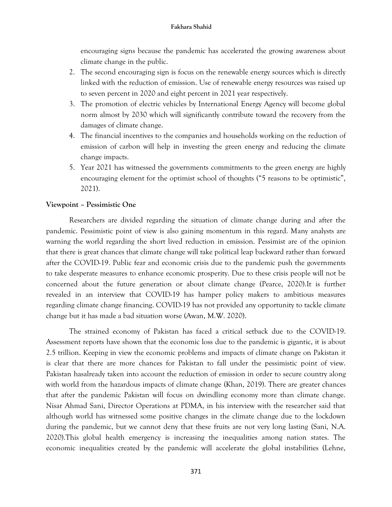encouraging signs because the pandemic has accelerated the growing awareness about climate change in the public.

- 2. The second encouraging sign is focus on the renewable energy sources which is directly linked with the reduction of emission. Use of renewable energy resources was raised up to seven percent in 2020 and eight percent in 2021 year respectively.
- 3. The promotion of electric vehicles by International Energy Agency will become global norm almost by 2030 which will significantly contribute toward the recovery from the damages of climate change.
- 4. The financial incentives to the companies and households working on the reduction of emission of carbon will help in investing the green energy and reducing the climate change impacts.
- 5. Year 2021 has witnessed the governments commitments to the green energy are highly encouraging element for the optimist school of thoughts ("5 reasons to be optimistic", 2021).

### **Viewpoint – Pessimistic One**

Researchers are divided regarding the situation of climate change during and after the pandemic. Pessimistic point of view is also gaining momentum in this regard. Many analysts are warning the world regarding the short lived reduction in emission. Pessimist are of the opinion that there is great chances that climate change will take political leap backward rather than forward after the COVID-19. Public fear and economic crisis due to the pandemic push the governments to take desperate measures to enhance economic prosperity. Due to these crisis people will not be concerned about the future generation or about climate change (Pearce, 2020).It is further revealed in an interview that COVID-19 has hamper policy makers to ambitious measures regarding climate change financing. COVID-19 has not provided any opportunity to tackle climate change but it has made a bad situation worse (Awan, M.W. 2020).

The strained economy of Pakistan has faced a critical setback due to the COVID-19. Assessment reports have shown that the economic loss due to the pandemic is gigantic, it is about 2.5 trillion. Keeping in view the economic problems and impacts of climate change on Pakistan it is clear that there are more chances for Pakistan to fall under the pessimistic point of view. Pakistan hasalready taken into account the reduction of emission in order to secure country along with world from the hazardous impacts of climate change (Khan, 2019). There are greater chances that after the pandemic Pakistan will focus on dwindling economy more than climate change. Nisar Ahmad Sani, Director Operations at PDMA, in his interview with the researcher said that although world has witnessed some positive changes in the climate change due to the lockdown during the pandemic, but we cannot deny that these fruits are not very long lasting (Sani, N.A. 2020).This global health emergency is increasing the inequalities among nation states. The economic inequalities created by the pandemic will accelerate the global instabilities (Lehne,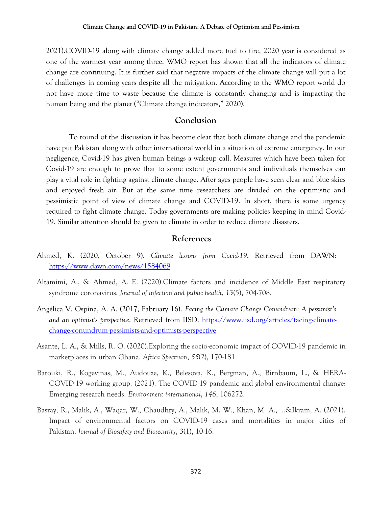2021).COVID-19 along with climate change added more fuel to fire, 2020 year is considered as one of the warmest year among three. WMO report has shown that all the indicators of climate change are continuing. It is further said that negative impacts of the climate change will put a lot of challenges in coming years despite all the mitigation. According to the WMO report world do not have more time to waste because the climate is constantly changing and is impacting the human being and the planet ("Climate change indicators," 2020).

### **Conclusion**

To round of the discussion it has become clear that both climate change and the pandemic have put Pakistan along with other international world in a situation of extreme emergency. In our negligence, Covid-19 has given human beings a wakeup call. Measures which have been taken for Covid-19 are enough to prove that to some extent governments and individuals themselves can play a vital role in fighting against climate change. After ages people have seen clear and blue skies and enjoyed fresh air. But at the same time researchers are divided on the optimistic and pessimistic point of view of climate change and COVID-19. In short, there is some urgency required to fight climate change. Today governments are making policies keeping in mind Covid-19. Similar attention should be given to climate in order to reduce climate disasters.

### **References**

- Ahmed, K. (2020, October 9). *Climate lessons from Covid-19*. Retrieved from DAWN: <https://www.dawn.com/news/1584069>
- Altamimi, A., & Ahmed, A. E. (2020).Climate factors and incidence of Middle East respiratory syndrome coronavirus. *Journal of infection and public health*, *13*(5), 704-708.
- Angélica V. Ospina, A. A. (2017, Fabruary 16). *Facing the Climate Change Conundrum: A pessimist's and an optimist's perspective*. Retrieved from IISD: [https://www.iisd.org/articles/facing-climate](https://www.iisd.org/articles/facing-climate-change-conundrum-pessimists-and-optimists-perspective)[change-conundrum-pessimists-and-optimists-perspective](https://www.iisd.org/articles/facing-climate-change-conundrum-pessimists-and-optimists-perspective)
- Asante, L. A., & Mills, R. O. (2020).Exploring the socio-economic impact of COVID-19 pandemic in marketplaces in urban Ghana. *Africa Spectrum*, *55*(2), 170-181.
- Barouki, R., Kogevinas, M., Audouze, K., Belesova, K., Bergman, A., Birnbaum, L., & HERA-COVID-19 working group. (2021). The COVID-19 pandemic and global environmental change: Emerging research needs. *Environment international*, *146*, 106272.
- Basray, R., Malik, A., Waqar, W., Chaudhry, A., Malik, M. W., Khan, M. A., ...&Ikram, A. (2021). Impact of environmental factors on COVID-19 cases and mortalities in major cities of Pakistan. *Journal of Biosafety and Biosecurity*, *3*(1), 10-16.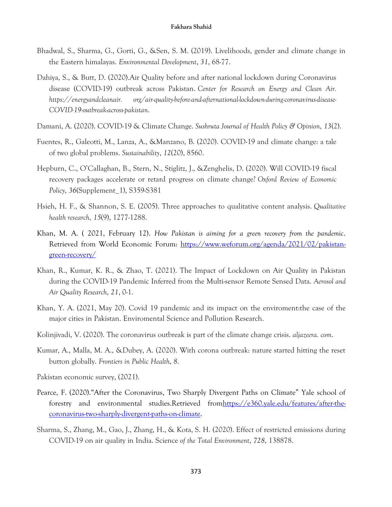- Bhadwal, S., Sharma, G., Gorti, G., &Sen, S. M. (2019). Livelihoods, gender and climate change in the Eastern himalayas. *Environmental Development*, *31*, 68-77.
- Dahiya, S., & Butt, D. (2020).Air Quality before and after national lockdown during Coronavirus disease (COVID-19) outbreak across Pakistan. *Center for Research on Energy and Clean Air. https://energyandcleanair. org/air-quality-before-and-afternational-lockdown-during-coronavirus-disease-COVID-19-outbreak-across-pakistan*.
- Damani, A. (2020). COVID-19 & Climate Change. *Sushruta Journal of Health Policy & Opinion*, *13*(2).
- Fuentes, R., Galeotti, M., Lanza, A., &Manzano, B. (2020). COVID-19 and climate change: a tale of two global problems. *Sustainability*, *12*(20), 8560.
- Hepburn, C., O'Callaghan, B., Stern, N., Stiglitz, J., &Zenghelis, D. (2020). Will COVID-19 fiscal recovery packages accelerate or retard progress on climate change? *Oxford Review of Economic Policy*, *36*(Supplement\_1), S359-S381
- Hsieh, H. F., & Shannon, S. E. (2005). Three approaches to qualitative content analysis. *Qualitative health research*, *15*(9), 1277-1288.
- Khan, M. A. ( 2021, February 12). *How Pakistan is aiming for a green recovery from the pandemic*. Retrieved from World Economic Forum: [https://www.weforum.org/agenda/2021/02/pakistan](https://www.weforum.org/agenda/2021/02/pakistan-green-recovery/)[green-recovery/](https://www.weforum.org/agenda/2021/02/pakistan-green-recovery/)
- Khan, R., Kumar, K. R., & Zhao, T. (2021). The Impact of Lockdown on Air Quality in Pakistan during the COVID-19 Pandemic Inferred from the Multi-sensor Remote Sensed Data. *Aerosol and Air Quality Research*, *21*, 0-1.
- Khan, Y. A. (2021, May 20). Covid 19 pandemic and its impact on the enviroment:the case of the major cities in Pakistan. Enviromental Science and Pollution Research.
- Kolinjivadi, V. (2020). The coronavirus outbreak is part of the climate change crisis. *aljazeera. com*.
- Kumar, A., Malla, M. A., &Dubey, A. (2020). With corona outbreak: nature started hitting the reset button globally. *Frontiers in Public Health*, *8*.
- Pakistan economic survey, (2021).
- Pearce, F. (2020)."After the Coronavirus, Two Sharply Divergent Paths on Climate" Yale school of forestry and environmental studies.Retrieved fro[mhttps://e360.yale.edu/features/after-the](https://e360.yale.edu/features/after-the-coronavirus-two-sharply-divergent-paths-on-climate)[coronavirus-two-sharply-divergent-paths-on-climate.](https://e360.yale.edu/features/after-the-coronavirus-two-sharply-divergent-paths-on-climate)
- Sharma, S., Zhang, M., Gao, J., Zhang, H., & Kota, S. H. (2020). Effect of restricted emissions during COVID-19 on air quality in India. Science *of the Total Environment*, *728*, 138878.